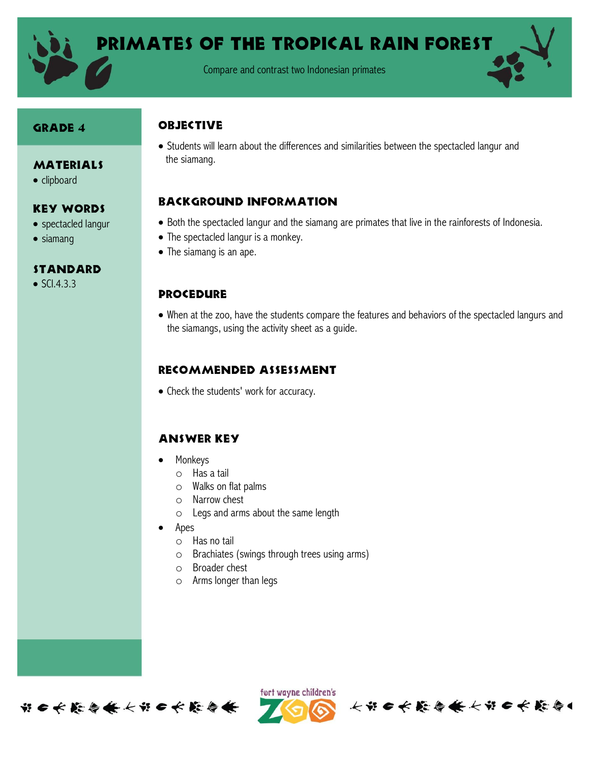

Primates of the tropical rain forest

Compare and contrast two Indonesian primates

#### Grade 4

• clipboard

• siamang

**MATERIALS** 

Key Words • spectacled langur

**STANDARD**  $\bullet$  SCI.4.3.3

#### **OBJECTIVE**

 Students will learn about the differences and similarities between the spectacled langur and the siamang.

# Background information

- Both the spectacled langur and the siamang are primates that live in the rainforests of Indonesia.
- The spectacled langur is a monkey.
- The siamang is an ape.

## **PROCEDURE**

 When at the zoo, have the students compare the features and behaviors of the spectacled langurs and the siamangs, using the activity sheet as a guide.

# Recommended assessment

• Check the students' work for accuracy.

## Answer Key

- Monkeys
	- o Has a tail
	- o Walks on flat palms
	- o Narrow chest
	- o Legs and arms about the same length
- Apes
	- o Has no tail
	- o Brachiates (swings through trees using arms)
	- o Broader chest
	- o Arms longer than legs